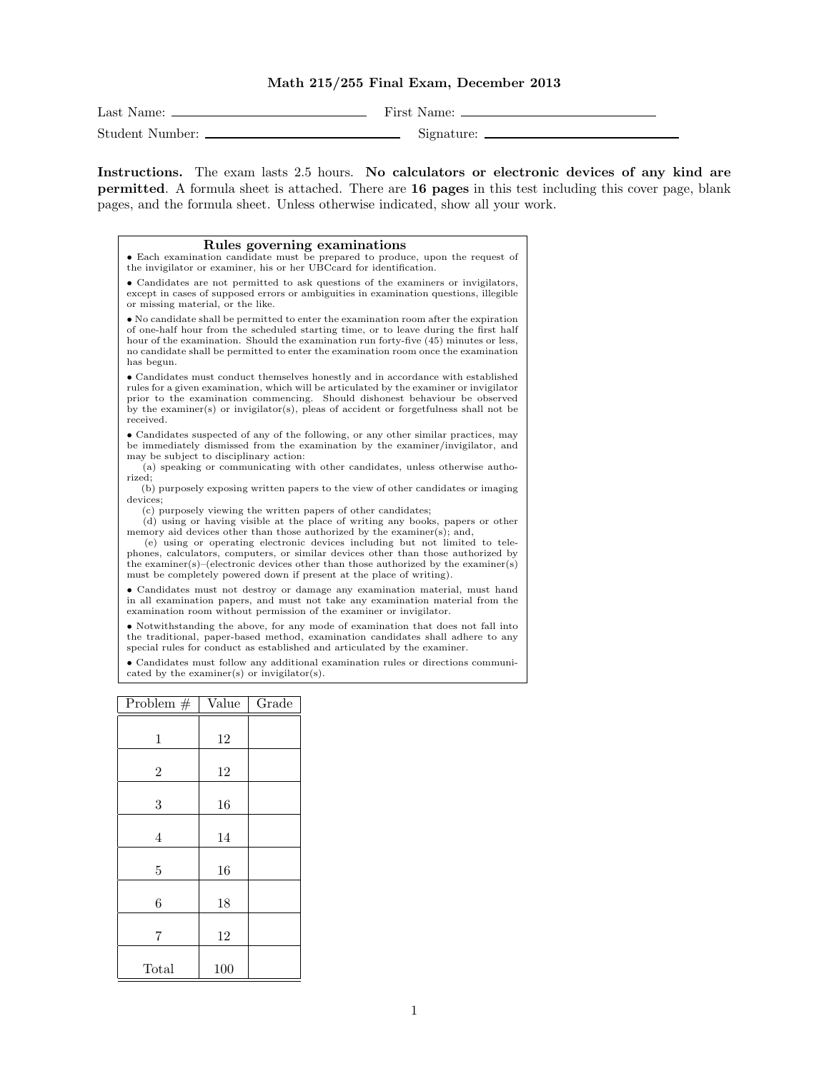## Math 215/255 Final Exam, December 2013

| Last Name:      | First Name: |
|-----------------|-------------|
| Student Number: | Signature:  |

Instructions. The exam lasts 2.5 hours. No calculators or electronic devices of any kind are permitted. A formula sheet is attached. There are 16 pages in this test including this cover page, blank pages, and the formula sheet. Unless otherwise indicated, show all your work.

| Rules governing examinations<br>• Each examination candidate must be prepared to produce, upon the request of<br>the invigilator or examiner, his or her UBCcard for identification.                                                                                                                                                                                                                                                                                                                                                                                      |
|---------------------------------------------------------------------------------------------------------------------------------------------------------------------------------------------------------------------------------------------------------------------------------------------------------------------------------------------------------------------------------------------------------------------------------------------------------------------------------------------------------------------------------------------------------------------------|
| • Candidates are not permitted to ask questions of the examiners or invigilators,<br>except in cases of supposed errors or ambiguities in examination questions, illegible<br>or missing material, or the like.                                                                                                                                                                                                                                                                                                                                                           |
| • No candidate shall be permitted to enter the examination room after the expiration<br>of one-half hour from the scheduled starting time, or to leave during the first half<br>hour of the examination. Should the examination run forty-five (45) minutes or less,<br>no candidate shall be permitted to enter the examination room once the examination<br>has begun.                                                                                                                                                                                                  |
| • Candidates must conduct themselves honestly and in accordance with established<br>rules for a given examination, which will be articulated by the examiner or invigilator<br>prior to the examination commencing. Should dishonest behaviour be observed<br>by the examiner(s) or invigilator(s), pleas of accident or forgetfulness shall not be<br>received.                                                                                                                                                                                                          |
| • Candidates suspected of any of the following, or any other similar practices, may<br>be immediately dismissed from the examination by the examiner/invigilator, and<br>may be subject to disciplinary action:<br>(a) speaking or communicating with other candidates, unless otherwise autho-<br>rized:<br>(b) purposely exposing written papers to the view of other candidates or imaging                                                                                                                                                                             |
| devices;<br>(c) purposely viewing the written papers of other candidates;<br>(d) using or having visible at the place of writing any books, papers or other<br>memory aid devices other than those authorized by the examiner(s); and,<br>(e) using or operating electronic devices including but not limited to tele-<br>phones, calculators, computers, or similar devices other than those authorized by<br>the examiner(s)–(electronic devices other than those authorized by the examiner(s)<br>must be completely powered down if present at the place of writing). |
| • Candidates must not destroy or damage any examination material, must hand<br>in all examination papers, and must not take any examination material from the<br>examination room without permission of the examiner or invigilator.                                                                                                                                                                                                                                                                                                                                      |
| • Notwithstanding the above, for any mode of examination that does not fall into<br>the traditional, paper-based method, examination candidates shall adhere to any<br>special rules for conduct as established and articulated by the examiner.                                                                                                                                                                                                                                                                                                                          |
| • Candidates must follow any additional examination rules or directions communi-<br>cated by the examiner(s) or invigilator(s).                                                                                                                                                                                                                                                                                                                                                                                                                                           |
| Problem $#$<br>Value<br>Grade                                                                                                                                                                                                                                                                                                                                                                                                                                                                                                                                             |

| Problem $#$    | Value | Grade |
|----------------|-------|-------|
| $\mathbf{1}$   | 12    |       |
| $\overline{2}$ | 12    |       |
| 3              | 16    |       |
| $\overline{4}$ | 14    |       |
| $\overline{5}$ | 16    |       |
| 6              | 18    |       |
| 7              | 12    |       |
| Total          | 100   |       |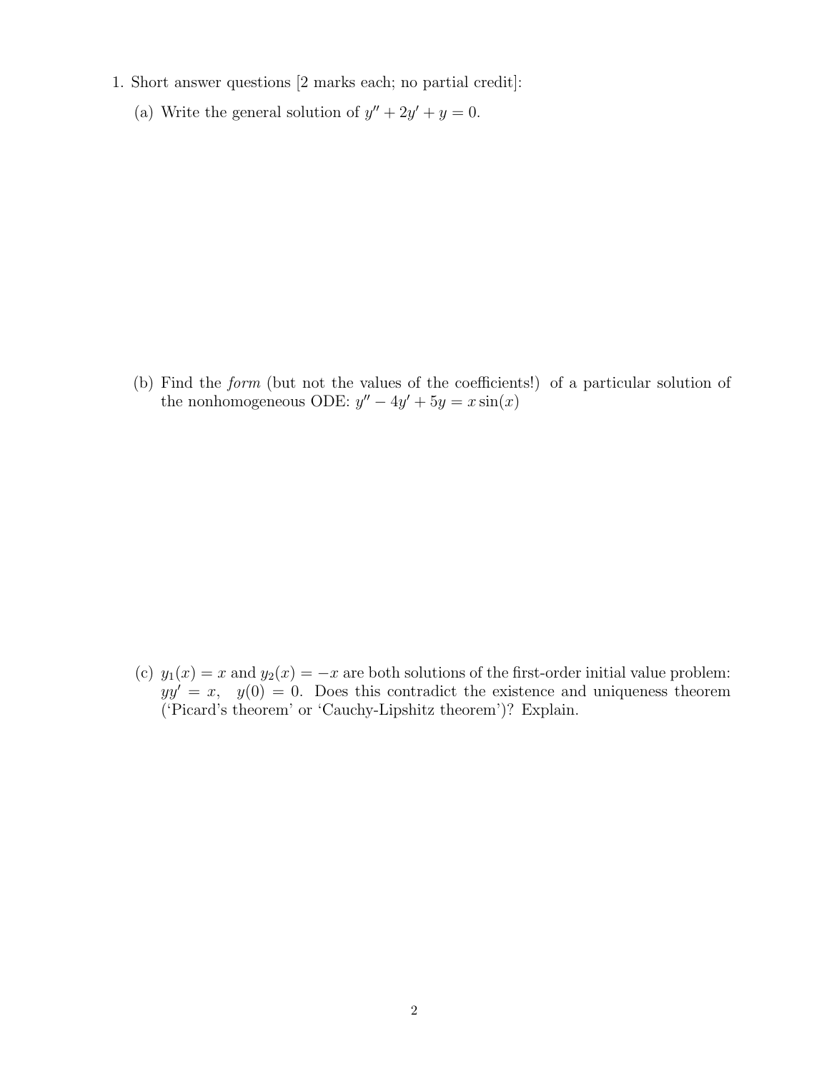- 1. Short answer questions [2 marks each; no partial credit]:
	- (a) Write the general solution of  $y'' + 2y' + y = 0$ .

(b) Find the *form* (but not the values of the coefficients!) of a particular solution of the nonhomogeneous ODE:  $y'' - 4y' + 5y = x \sin(x)$ 

(c)  $y_1(x) = x$  and  $y_2(x) = -x$  are both solutions of the first-order initial value problem:  $yy' = x$ ,  $y(0) = 0$ . Does this contradict the existence and uniqueness theorem ('Picard's theorem' or 'Cauchy-Lipshitz theorem')? Explain.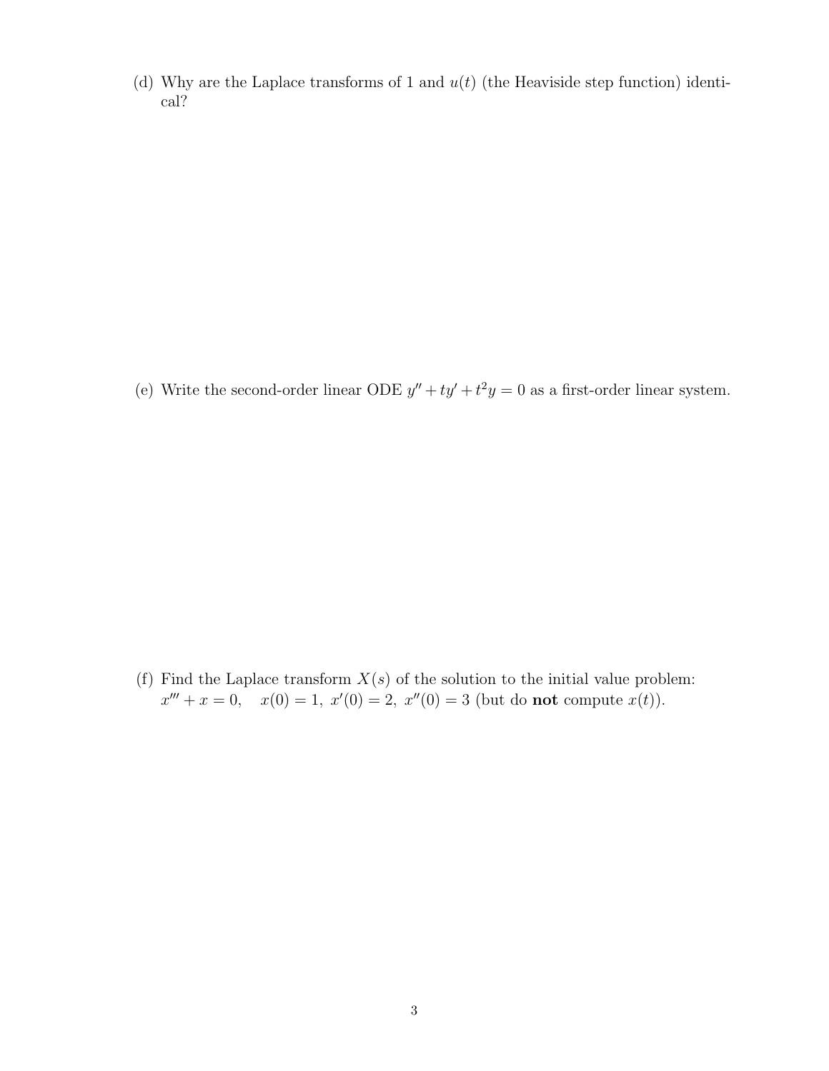(d) Why are the Laplace transforms of 1 and *u*(*t*) (the Heaviside step function) identical?

(e) Write the second-order linear ODE  $y'' + ty' + t^2y = 0$  as a first-order linear system.

(f) Find the Laplace transform  $X(s)$  of the solution to the initial value problem:  $x''' + x = 0$ ,  $x(0) = 1$ ,  $x'(0) = 2$ ,  $x''(0) = 3$  (but do **not** compute  $x(t)$ ).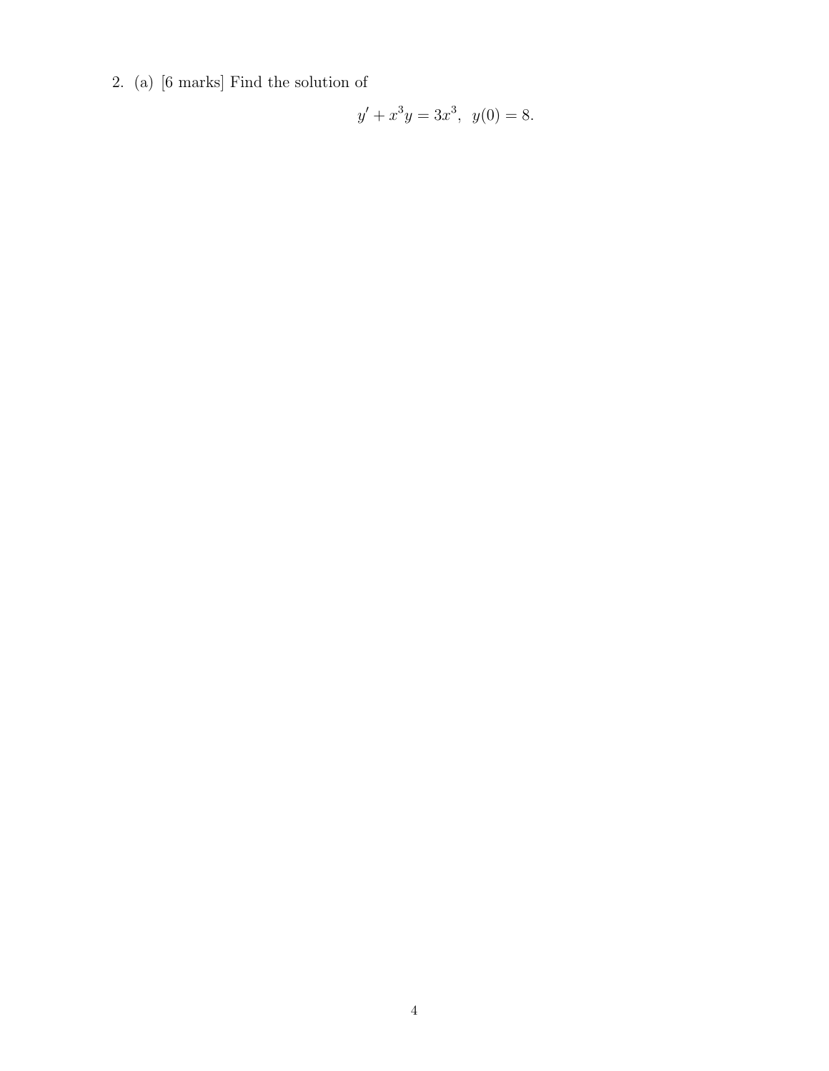2. (a) [6 marks] Find the solution of

$$
y' + x^3y = 3x^3, \ y(0) = 8.
$$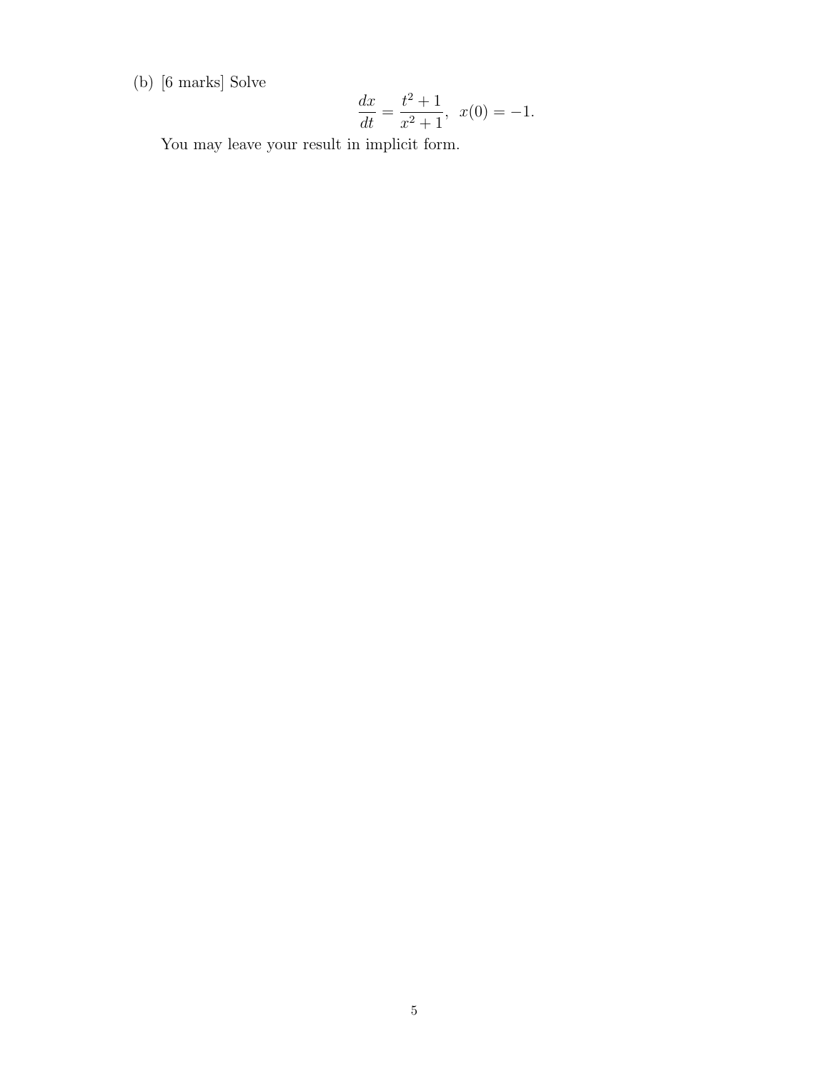(b) [6 marks] Solve

$$
\frac{dx}{dt} = \frac{t^2 + 1}{x^2 + 1}, \ \ x(0) = -1.
$$

You may leave your result in implicit form.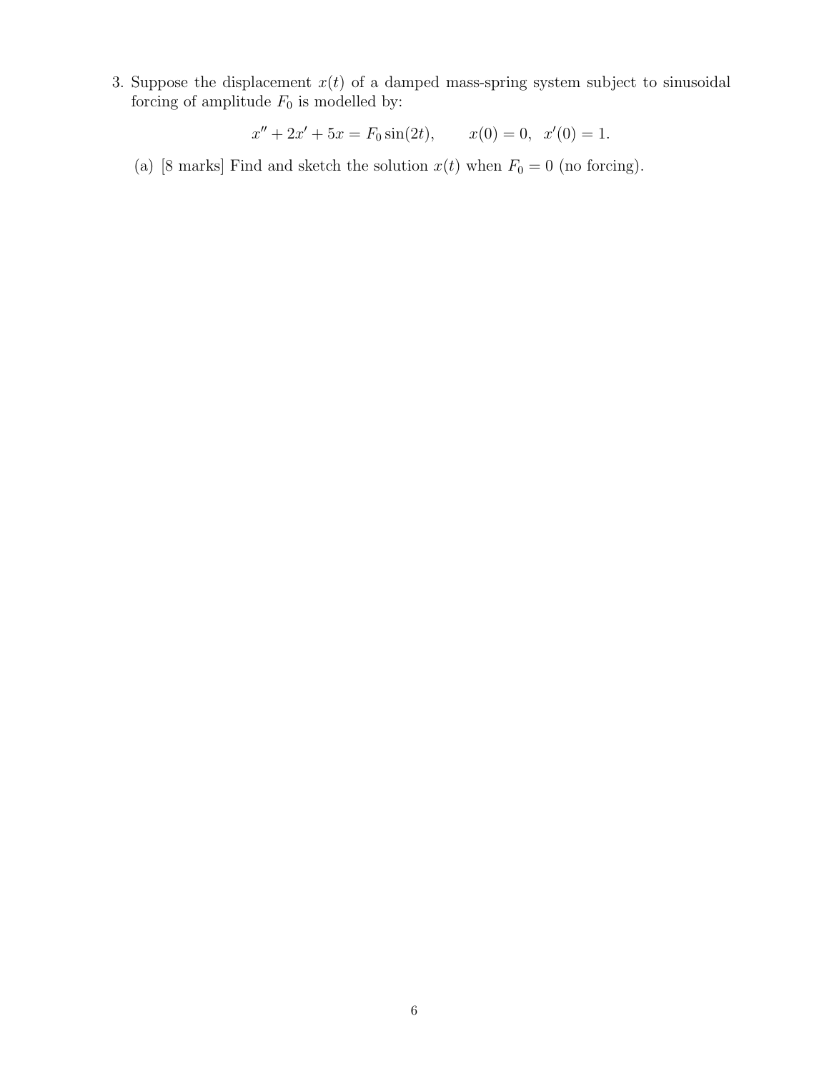3. Suppose the displacement  $x(t)$  of a damped mass-spring system subject to sinusoidal forcing of amplitude  $F_0$  is modelled by:

$$
x'' + 2x' + 5x = F_0 \sin(2t), \qquad x(0) = 0, \ \ x'(0) = 1.
$$

(a) [8 marks] Find and sketch the solution  $x(t)$  when  $F_0 = 0$  (no forcing).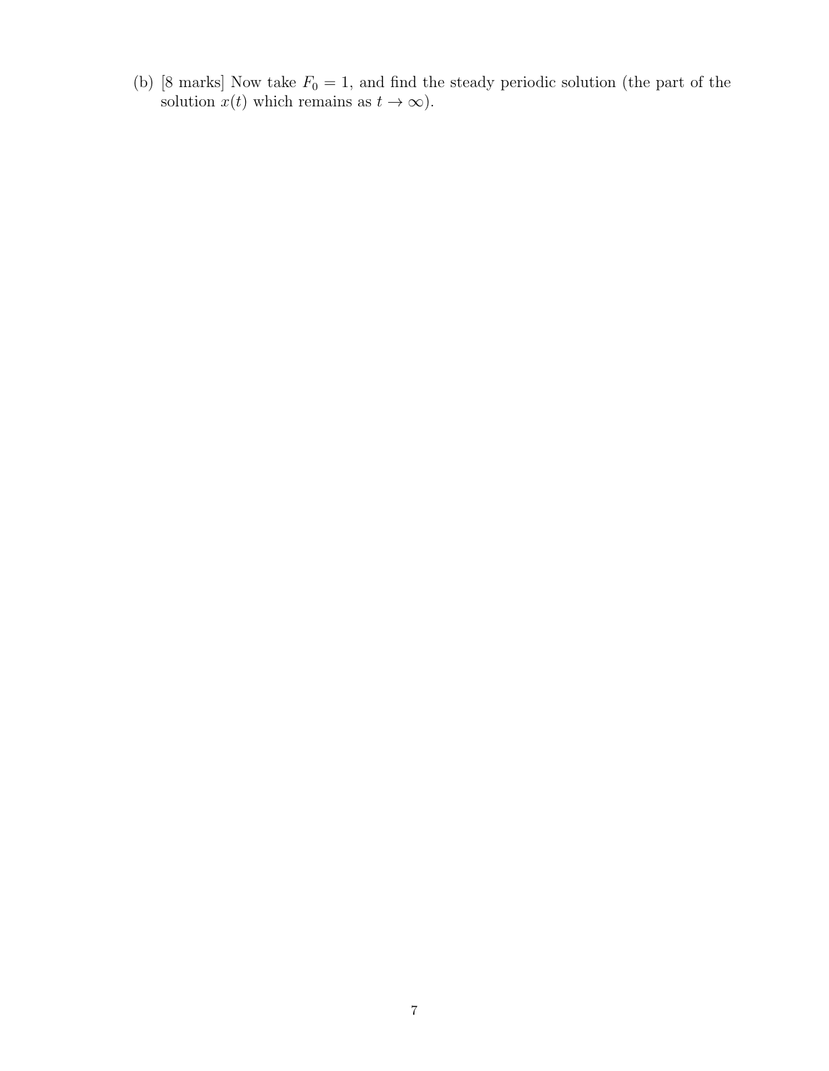(b) [8 marks] Now take  $F_0 = 1$ , and find the steady periodic solution (the part of the solution  $x(t)$  which remains as  $t \to \infty$ ).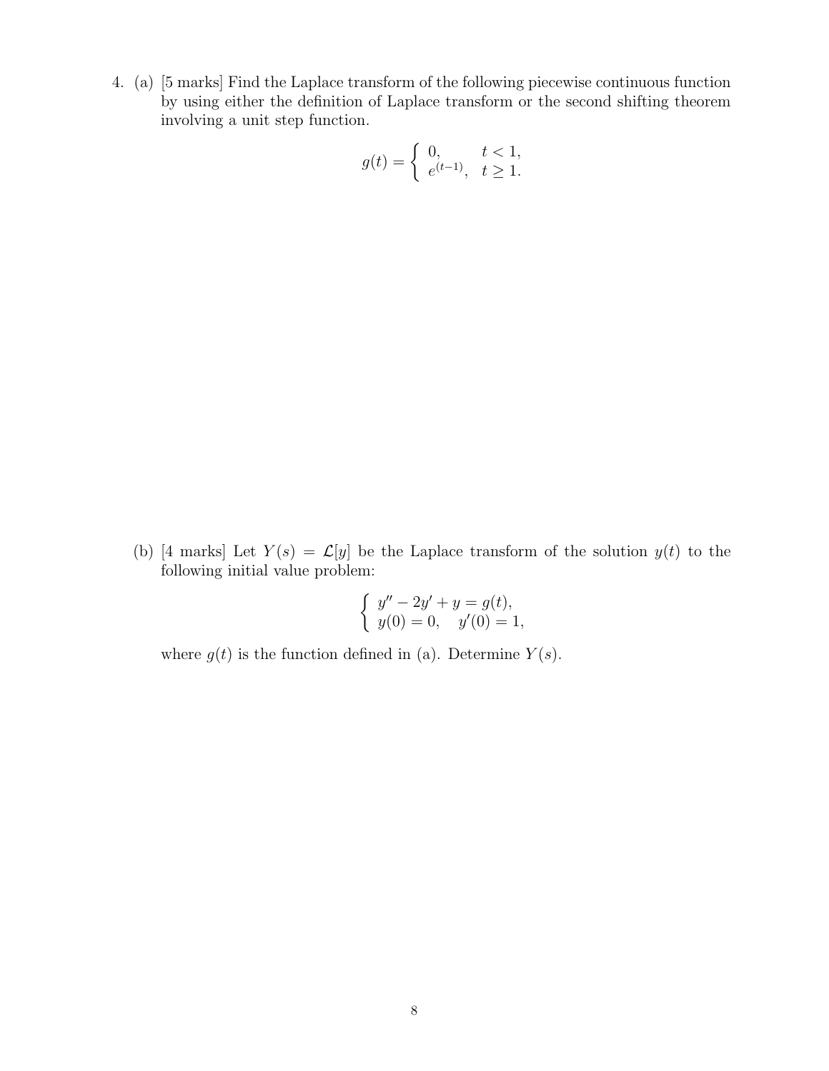4. (a) [5 marks] Find the Laplace transform of the following piecewise continuous function by using either the definition of Laplace transform or the second shifting theorem involving a unit step function.

$$
g(t)=\left\{\begin{array}{ll}0,&t<1,\\e^{(t-1)},&t\geq 1.\end{array}\right.
$$

(b) [4 marks] Let  $Y(s) = \mathcal{L}[y]$  be the Laplace transform of the solution  $y(t)$  to the following initial value problem:

$$
\begin{cases}\ny'' - 2y' + y = g(t), \\
y(0) = 0, \quad y'(0) = 1,\n\end{cases}
$$

where  $g(t)$  is the function defined in (a). Determine  $Y(s)$ .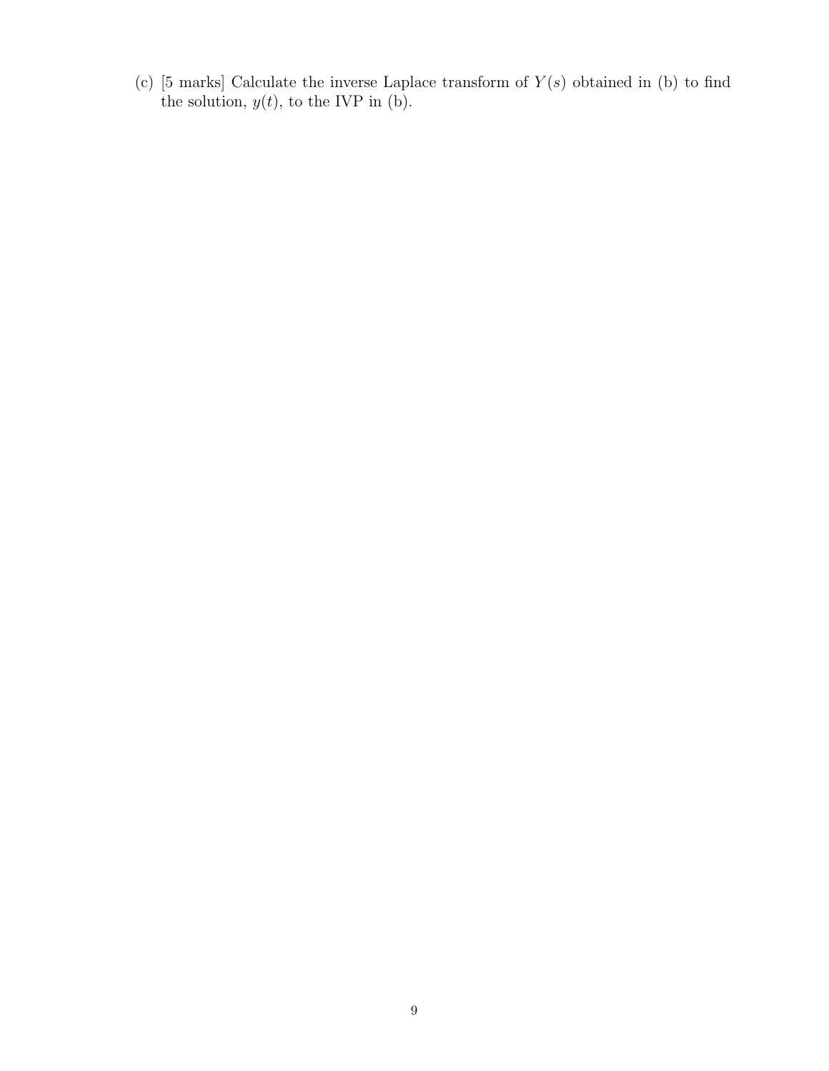(c)  $[5 \text{ marks}]$  Calculate the inverse Laplace transform of  $Y(s)$  obtained in (b) to find the solution,  $y(t)$ , to the IVP in (b).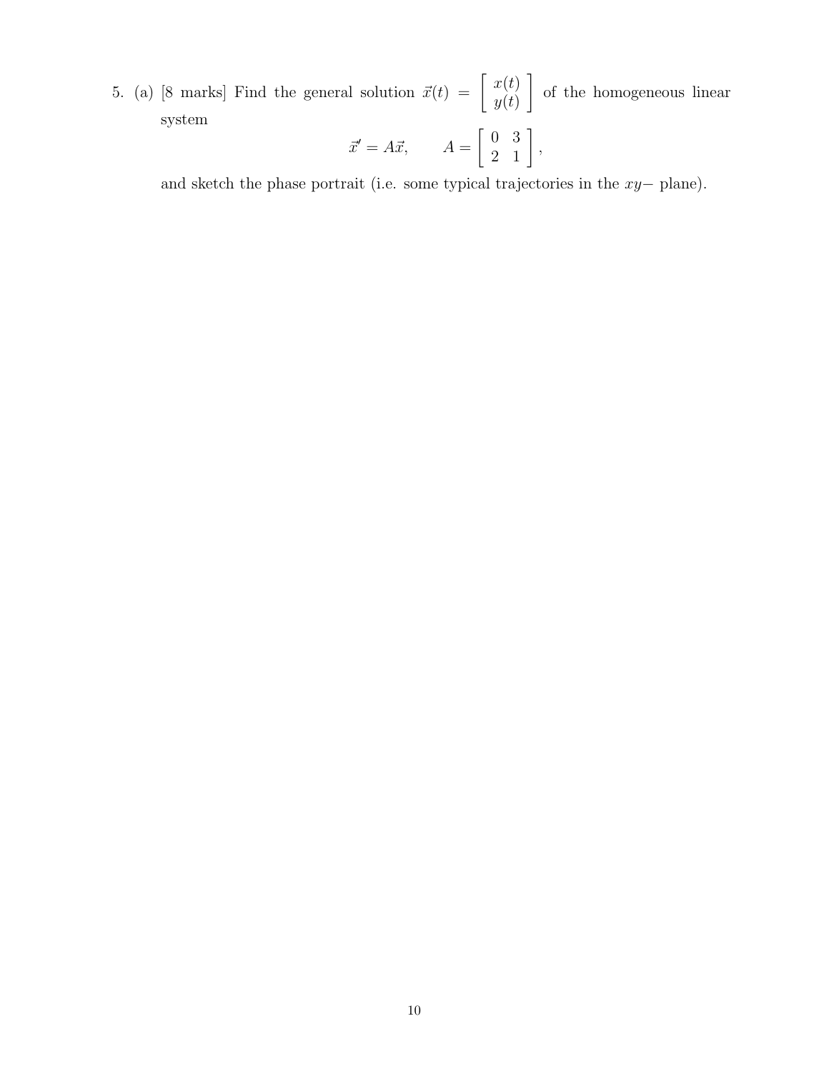5. (a) [8 marks] Find the general solution  $\vec{x}(t) = \begin{bmatrix} x(t) \\ y(t) \end{bmatrix}$ l. of the homogeneous linear system

$$
\vec{x}' = A\vec{x}, \qquad A = \begin{bmatrix} 0 & 3 \\ 2 & 1 \end{bmatrix},
$$

and sketch the phase portrait (i.e. some typical trajectories in the  $xy-$  plane).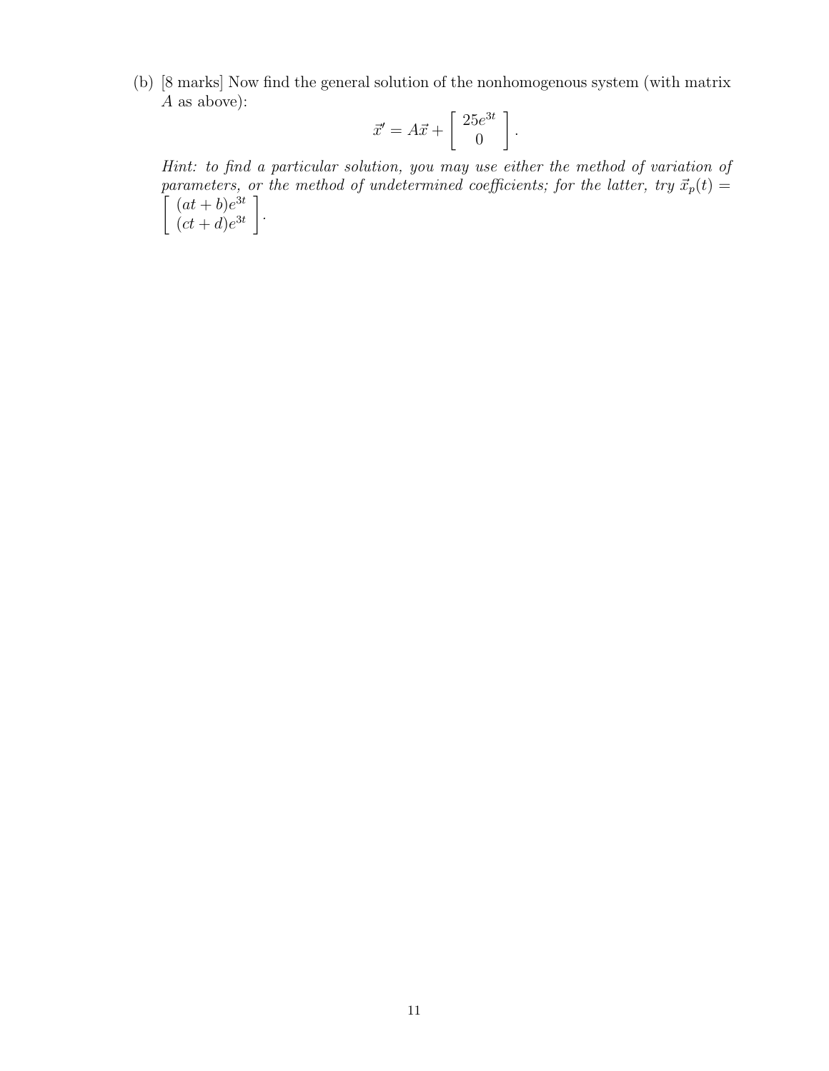(b) [8 marks] Now find the general solution of the nonhomogenous system (with matrix *A* as above):

$$
\vec{x}' = A\vec{x} + \begin{bmatrix} 25e^{3t} \\ 0 \end{bmatrix}
$$

*.*

*Hint: to find a particular solution, you may use either the method of variation of parameters, or the method of undetermined coefficients; for the latter, try*  $\vec{x}_p(t)$  =  $\int (at+b)e^{3t}$  $(ct+d)e^{3t}$ 1 *.*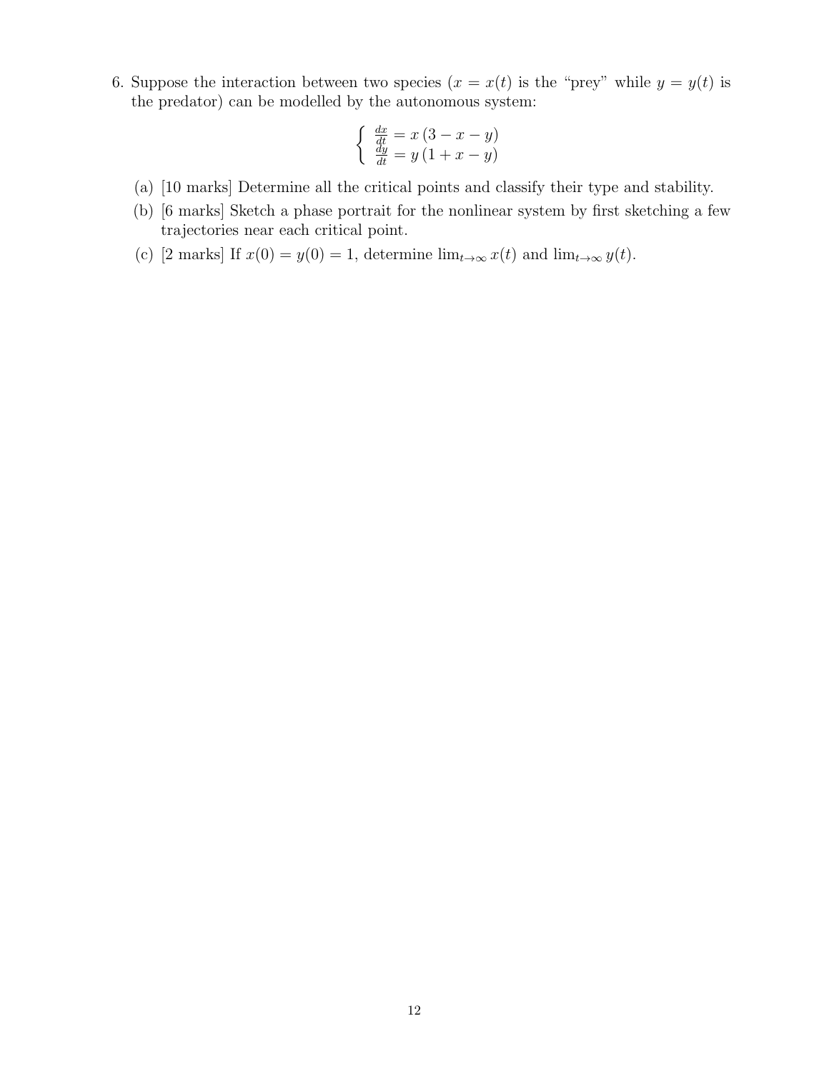6. Suppose the interaction between two species  $(x = x(t))$  is the "prey" while  $y = y(t)$  is the predator) can be modelled by the autonomous system:

$$
\begin{cases} \frac{dx}{dt} = x(3 - x - y) \\ \frac{dy}{dt} = y(1 + x - y) \end{cases}
$$

- (a) [10 marks] Determine all the critical points and classify their type and stability.
- (b) [6 marks] Sketch a phase portrait for the nonlinear system by first sketching a few trajectories near each critical point.
- (c) [2 marks] If  $x(0) = y(0) = 1$ , determine  $\lim_{t\to\infty} x(t)$  and  $\lim_{t\to\infty} y(t)$ .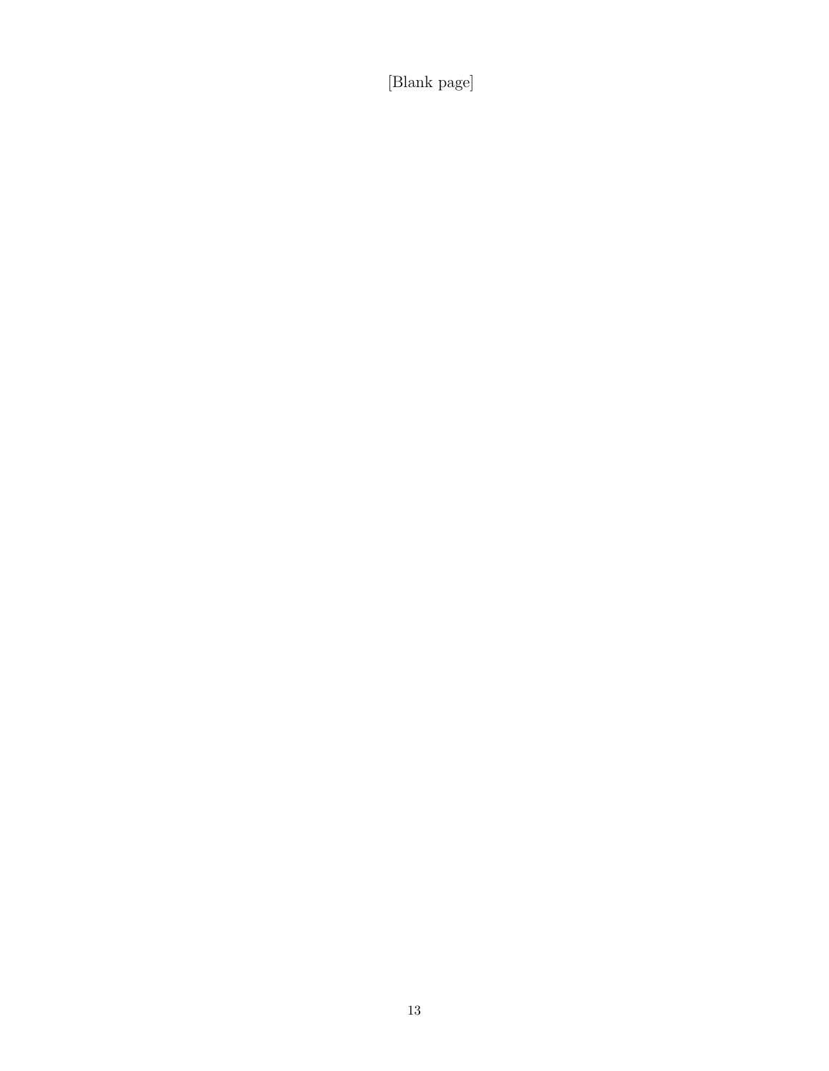[Blank page]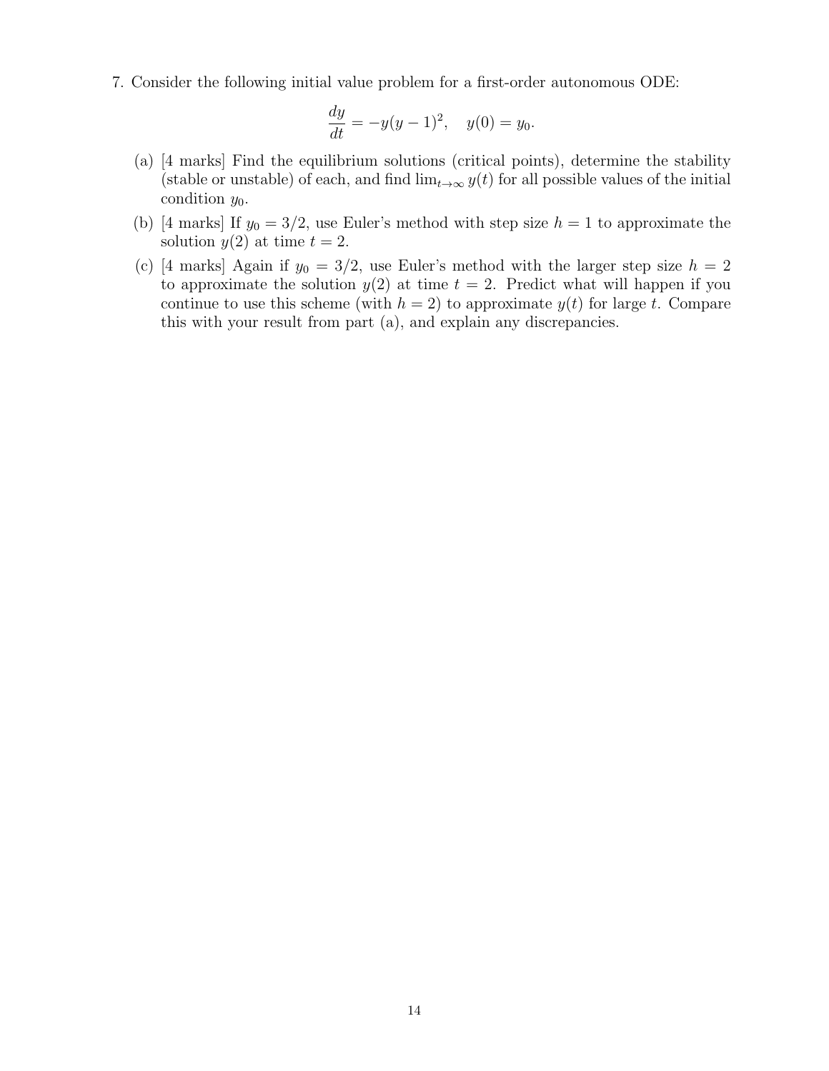7. Consider the following initial value problem for a first-order autonomous ODE:

$$
\frac{dy}{dt} = -y(y-1)^2, \quad y(0) = y_0.
$$

- (a) [4 marks] Find the equilibrium solutions (critical points), determine the stability (stable or unstable) of each, and find  $\lim_{t\to\infty} y(t)$  for all possible values of the initial condition *y*0.
- (b) [4 marks] If  $y_0 = 3/2$ , use Euler's method with step size  $h = 1$  to approximate the solution  $y(2)$  at time  $t = 2$ .
- (c) [4 marks] Again if  $y_0 = 3/2$ , use Euler's method with the larger step size  $h = 2$ to approximate the solution  $y(2)$  at time  $t = 2$ . Predict what will happen if you continue to use this scheme (with  $h = 2$ ) to approximate  $y(t)$  for large *t*. Compare this with your result from part (a), and explain any discrepancies.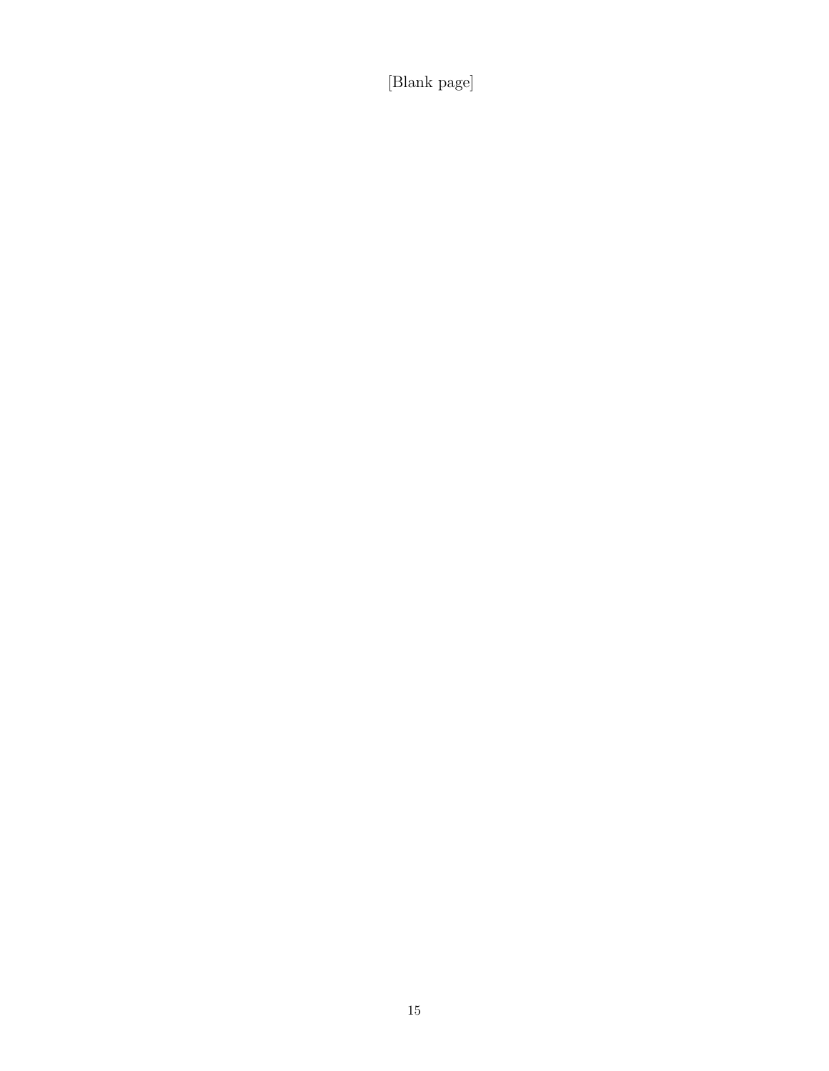[Blank page]